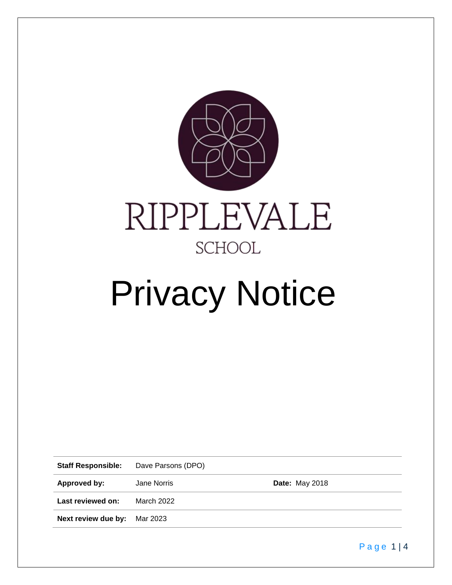

# Privacy Notice

**Staff Responsible:** Dave Parsons (DPO)

Approved by: Jane Norris **Date:** May 2018

**Last reviewed on:** March 2022

**Next review due by:** Mar 2023

Page 1|4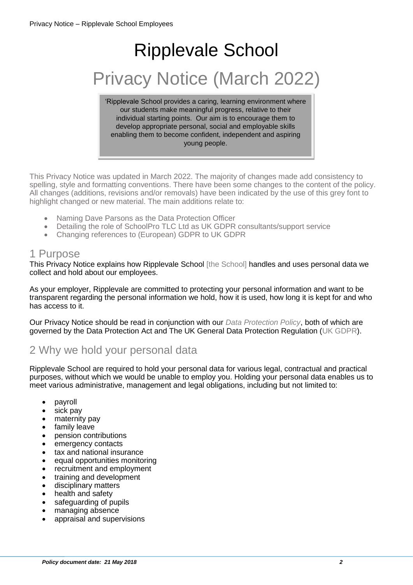# Ripplevale School Privacy Notice (March 2022)

'Ripplevale School provides a caring, learning environment where our students make meaningful progress, relative to their individual starting points. Our aim is to encourage them to develop appropriate personal, social and employable skills enabling them to become confident, independent and aspiring young people.

This Privacy Notice was updated in March 2022. The majority of changes made add consistency to spelling, style and formatting conventions. There have been some changes to the content of the policy. All changes (additions, revisions and/or removals) have been indicated by the use of this grey font to highlight changed or new material. The main additions relate to:

- Naming Dave Parsons as the Data Protection Officer
- Detailing the role of SchoolPro TLC Ltd as UK GDPR consultants/support service
- Changing references to (European) GDPR to UK GDPR

#### 1 Purpose

This Privacy Notice explains how Ripplevale School [the School] handles and uses personal data we collect and hold about our employees.

As your employer, Ripplevale are committed to protecting your personal information and want to be transparent regarding the personal information we hold, how it is used, how long it is kept for and who has access to it.

Our Privacy Notice should be read in conjunction with our *Data Protection Policy*, both of which are governed by the Data Protection Act and The UK General Data Protection Regulation (UK GDPR).

# 2 Why we hold your personal data

Ripplevale School are required to hold your personal data for various legal, contractual and practical purposes, without which we would be unable to employ you. Holding your personal data enables us to meet various administrative, management and legal obligations, including but not limited to:

- payroll
- sick pay
- maternity pay
- family leave
- pension contributions
- emergency contacts
- tax and national insurance
- equal opportunities monitoring
- recruitment and employment
- training and development
- disciplinary matters
- health and safety
- safeguarding of pupils
- managing absence
- appraisal and supervisions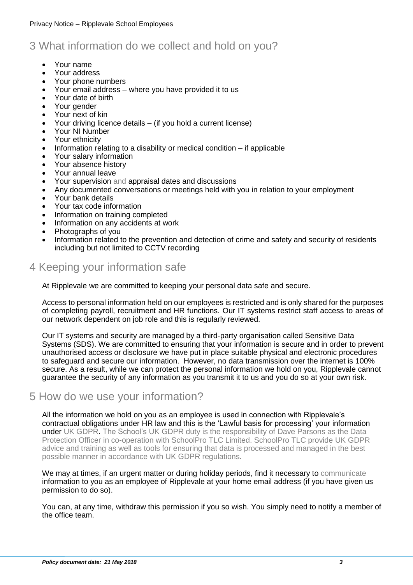# 3 What information do we collect and hold on you?

- Your name
- Your address
- Your phone numbers
- Your email address where you have provided it to us
- Your date of birth
- Your gender
- Your next of kin
- Your driving licence details (if you hold a current license)
- Your NI Number
- Your ethnicity
- Information relating to a disability or medical condition if applicable
- Your salary information
- Your absence history
- Your annual leave
- Your supervision and appraisal dates and discussions
- Any documented conversations or meetings held with you in relation to your employment
- Your bank details
- Your tax code information
- Information on training completed
- Information on any accidents at work
- Photographs of you
- Information related to the prevention and detection of crime and safety and security of residents including but not limited to CCTV recording

# 4 Keeping your information safe

At Ripplevale we are committed to keeping your personal data safe and secure.

Access to personal information held on our employees is restricted and is only shared for the purposes of completing payroll, recruitment and HR functions. Our IT systems restrict staff access to areas of our network dependent on job role and this is regularly reviewed.

Our IT systems and security are managed by a third-party organisation called Sensitive Data Systems (SDS). We are committed to ensuring that your information is secure and in order to prevent unauthorised access or disclosure we have put in place suitable physical and electronic procedures to safeguard and secure our information. However, no data transmission over the internet is 100% secure. As a result, while we can protect the personal information we hold on you, Ripplevale cannot guarantee the security of any information as you transmit it to us and you do so at your own risk.

### 5 How do we use your information?

All the information we hold on you as an employee is used in connection with Ripplevale's contractual obligations under HR law and this is the 'Lawful basis for processing' your information under UK GDPR. The School's UK GDPR duty is the responsibility of Dave Parsons as the Data Protection Officer in co-operation with SchoolPro TLC Limited. SchoolPro TLC provide UK GDPR advice and training as well as tools for ensuring that data is processed and managed in the best possible manner in accordance with UK GDPR regulations.

We may at times, if an urgent matter or during holiday periods, find it necessary to communicate information to you as an employee of Ripplevale at your home email address (if you have given us permission to do so).

You can, at any time, withdraw this permission if you so wish. You simply need to notify a member of the office team.